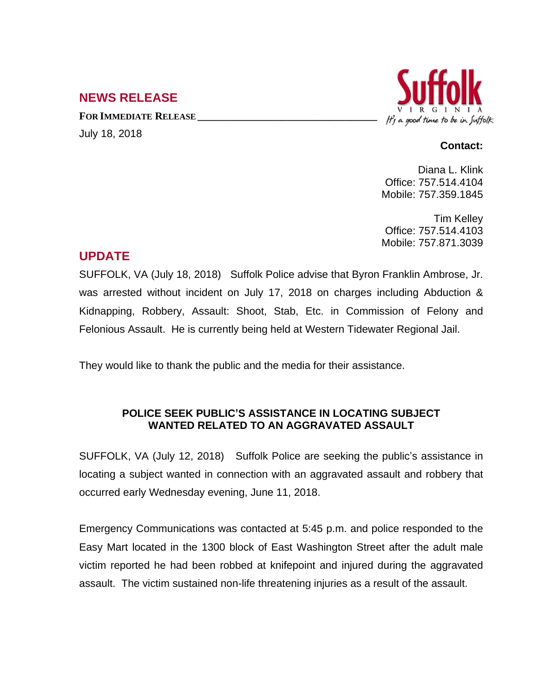## **NEWS RELEASE**

**FOR IMMEDIATE RELEASE \_\_\_\_\_\_\_\_\_\_\_\_\_\_\_\_\_\_\_\_\_\_\_\_\_\_\_\_\_\_\_\_\_\_** July 18, 2018



## **Contact:**

Diana L. Klink Office: 757.514.4104 Mobile: 757.359.1845

Tim Kelley Office: 757.514.4103 Mobile: 757.871.3039

## **UPDATE**

SUFFOLK, VA (July 18, 2018) Suffolk Police advise that Byron Franklin Ambrose, Jr. was arrested without incident on July 17, 2018 on charges including Abduction & Kidnapping, Robbery, Assault: Shoot, Stab, Etc. in Commission of Felony and Felonious Assault. He is currently being held at Western Tidewater Regional Jail.

They would like to thank the public and the media for their assistance.

## **POLICE SEEK PUBLIC'S ASSISTANCE IN LOCATING SUBJECT WANTED RELATED TO AN AGGRAVATED ASSAULT**

SUFFOLK, VA (July 12, 2018) Suffolk Police are seeking the public's assistance in locating a subject wanted in connection with an aggravated assault and robbery that occurred early Wednesday evening, June 11, 2018.

Emergency Communications was contacted at 5:45 p.m. and police responded to the Easy Mart located in the 1300 block of East Washington Street after the adult male victim reported he had been robbed at knifepoint and injured during the aggravated assault. The victim sustained non-life threatening injuries as a result of the assault.